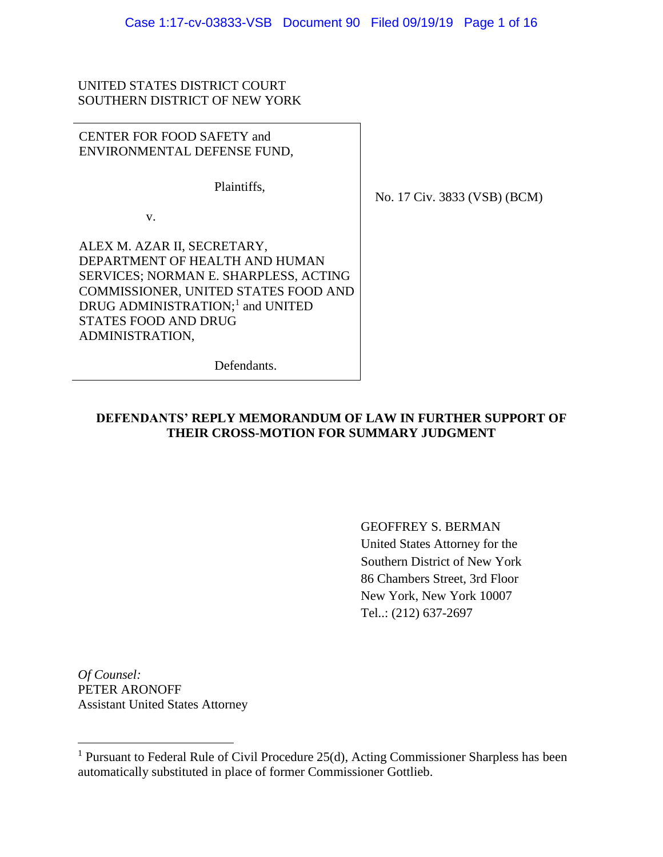### UNITED STATES DISTRICT COURT SOUTHERN DISTRICT OF NEW YORK

CENTER FOR FOOD SAFETY and ENVIRONMENTAL DEFENSE FUND,

Plaintiffs,

v.

ALEX M. AZAR II, SECRETARY, DEPARTMENT OF HEALTH AND HUMAN SERVICES; NORMAN E. SHARPLESS, ACTING COMMISSIONER, UNITED STATES FOOD AND DRUG ADMINISTRATION;<sup>1</sup> and UNITED STATES FOOD AND DRUG ADMINISTRATION,

No. 17 Civ. 3833 (VSB) (BCM)

Defendants.

### **DEFENDANTS' REPLY MEMORANDUM OF LAW IN FURTHER SUPPORT OF THEIR CROSS-MOTION FOR SUMMARY JUDGMENT**

GEOFFREY S. BERMAN United States Attorney for the Southern District of New York 86 Chambers Street, 3rd Floor New York, New York 10007 Tel..: (212) 637-2697

*Of Counsel:* PETER ARONOFF Assistant United States Attorney

<sup>1</sup> Pursuant to Federal Rule of Civil Procedure 25(d), Acting Commissioner Sharpless has been automatically substituted in place of former Commissioner Gottlieb.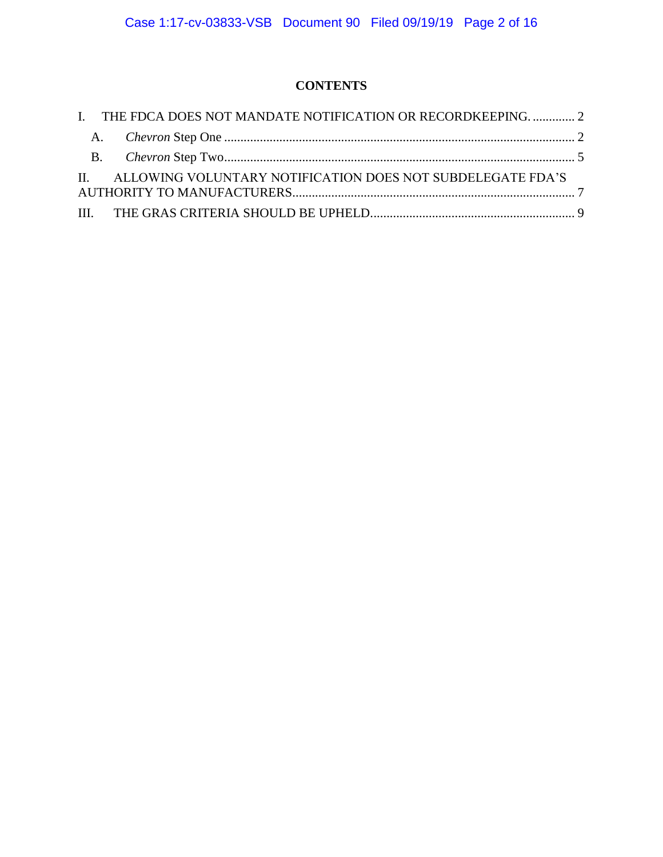## **CONTENTS**

| I. THE FDCA DOES NOT MANDATE NOTIFICATION OR RECORDKEEPING2    |  |
|----------------------------------------------------------------|--|
|                                                                |  |
|                                                                |  |
| II. ALLOWING VOLUNTARY NOTIFICATION DOES NOT SUBDELEGATE FDA'S |  |
|                                                                |  |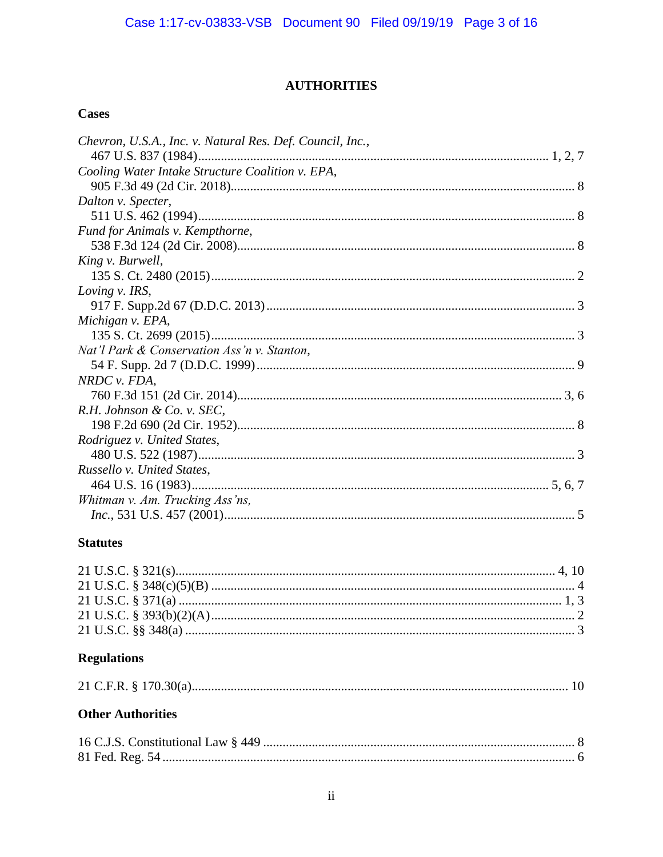## **AUTHORITIES**

## **Cases**

| Chevron, U.S.A., Inc. v. Natural Res. Def. Council, Inc., |  |
|-----------------------------------------------------------|--|
|                                                           |  |
| Cooling Water Intake Structure Coalition v. EPA,          |  |
|                                                           |  |
| Dalton v. Specter,                                        |  |
|                                                           |  |
| Fund for Animals v. Kempthorne,                           |  |
|                                                           |  |
| King v. Burwell,                                          |  |
|                                                           |  |
| Loving v. IRS,                                            |  |
|                                                           |  |
| Michigan v. EPA,                                          |  |
|                                                           |  |
| Nat'l Park & Conservation Ass'n v. Stanton,               |  |
|                                                           |  |
| NRDC v. FDA,                                              |  |
|                                                           |  |
| R.H. Johnson & Co. v. SEC,                                |  |
|                                                           |  |
| Rodriguez v. United States,                               |  |
|                                                           |  |
| Russello v. United States,                                |  |
|                                                           |  |
| Whitman v. Am. Trucking Ass'ns,                           |  |
|                                                           |  |

## **Statutes**

# **Regulations**

|--|--|--|--|

## **Other Authorities**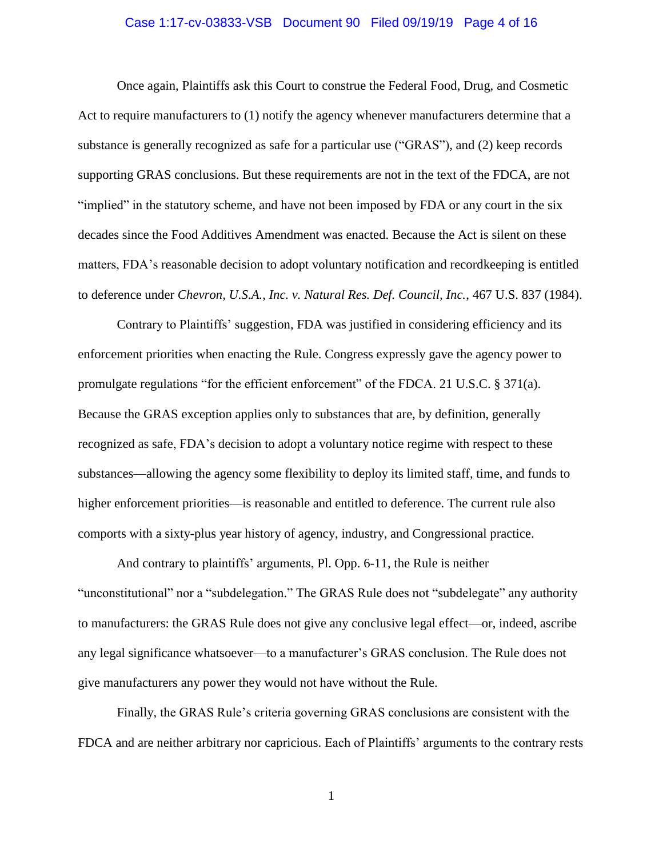#### Case 1:17-cv-03833-VSB Document 90 Filed 09/19/19 Page 4 of 16

Once again, Plaintiffs ask this Court to construe the Federal Food, Drug, and Cosmetic Act to require manufacturers to (1) notify the agency whenever manufacturers determine that a substance is generally recognized as safe for a particular use ("GRAS"), and (2) keep records supporting GRAS conclusions. But these requirements are not in the text of the FDCA, are not "implied" in the statutory scheme, and have not been imposed by FDA or any court in the six decades since the Food Additives Amendment was enacted. Because the Act is silent on these matters, FDA's reasonable decision to adopt voluntary notification and recordkeeping is entitled to deference under *Chevron, U.S.A., Inc. v. Natural Res. Def. Council, Inc.*, 467 U.S. 837 (1984).

Contrary to Plaintiffs' suggestion, FDA was justified in considering efficiency and its enforcement priorities when enacting the Rule. Congress expressly gave the agency power to promulgate regulations "for the efficient enforcement" of the FDCA. 21 U.S.C. § 371(a). Because the GRAS exception applies only to substances that are, by definition, generally recognized as safe, FDA's decision to adopt a voluntary notice regime with respect to these substances—allowing the agency some flexibility to deploy its limited staff, time, and funds to higher enforcement priorities—is reasonable and entitled to deference. The current rule also comports with a sixty-plus year history of agency, industry, and Congressional practice.

And contrary to plaintiffs' arguments, Pl. Opp. 6-11, the Rule is neither "unconstitutional" nor a "subdelegation." The GRAS Rule does not "subdelegate" any authority to manufacturers: the GRAS Rule does not give any conclusive legal effect—or, indeed, ascribe any legal significance whatsoever—to a manufacturer's GRAS conclusion. The Rule does not give manufacturers any power they would not have without the Rule.

Finally, the GRAS Rule's criteria governing GRAS conclusions are consistent with the FDCA and are neither arbitrary nor capricious. Each of Plaintiffs' arguments to the contrary rests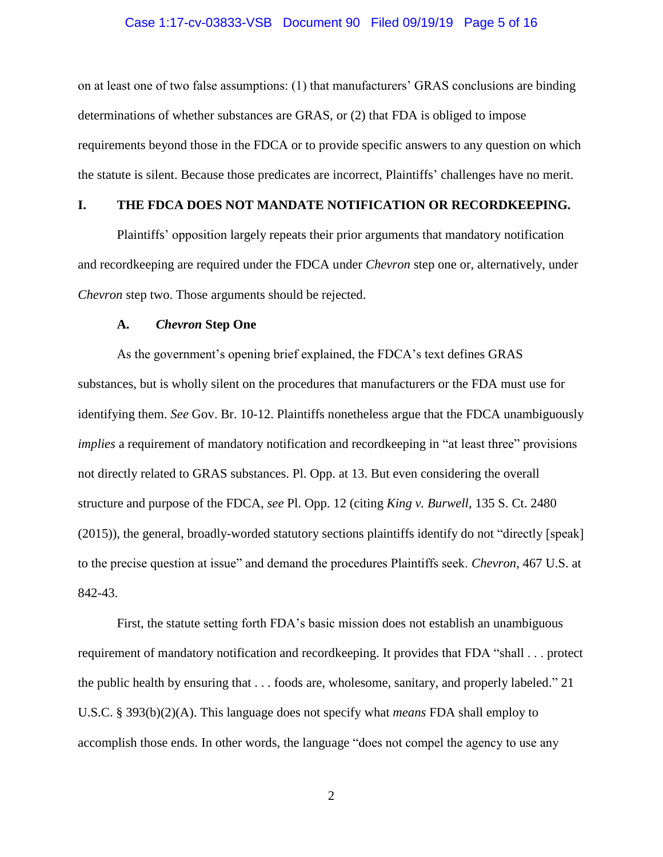#### Case 1:17-cv-03833-VSB Document 90 Filed 09/19/19 Page 5 of 16

on at least one of two false assumptions: (1) that manufacturers' GRAS conclusions are binding determinations of whether substances are GRAS, or (2) that FDA is obliged to impose requirements beyond those in the FDCA or to provide specific answers to any question on which the statute is silent. Because those predicates are incorrect, Plaintiffs' challenges have no merit.

### <span id="page-4-0"></span>**I. THE FDCA DOES NOT MANDATE NOTIFICATION OR RECORDKEEPING.**

Plaintiffs' opposition largely repeats their prior arguments that mandatory notification and recordkeeping are required under the FDCA under *Chevron* step one or, alternatively, under *Chevron* step two. Those arguments should be rejected.

#### **A.** *Chevron* **Step One**

<span id="page-4-1"></span>As the government's opening brief explained, the FDCA's text defines GRAS substances, but is wholly silent on the procedures that manufacturers or the FDA must use for identifying them. *See* Gov. Br. 10-12. Plaintiffs nonetheless argue that the FDCA unambiguously *implies* a requirement of mandatory notification and recordkeeping in "at least three" provisions not directly related to GRAS substances. Pl. Opp. at 13. But even considering the overall structure and purpose of the FDCA, *see* Pl. Opp. 12 (citing *King v. Burwell*, 135 S. Ct. 2480 (2015)), the general, broadly-worded statutory sections plaintiffs identify do not "directly [speak] to the precise question at issue" and demand the procedures Plaintiffs seek. *Chevron*, 467 U.S. at 842-43.

First, the statute setting forth FDA's basic mission does not establish an unambiguous requirement of mandatory notification and recordkeeping. It provides that FDA "shall . . . protect the public health by ensuring that . . . foods are, wholesome, sanitary, and properly labeled." 21 U.S.C. § 393(b)(2)(A). This language does not specify what *means* FDA shall employ to accomplish those ends. In other words, the language "does not compel the agency to use any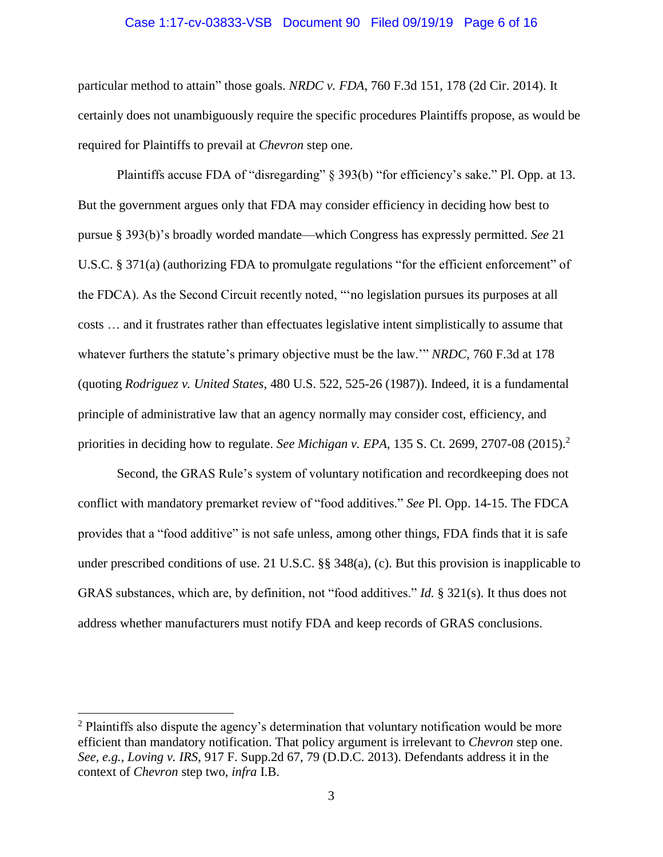#### Case 1:17-cv-03833-VSB Document 90 Filed 09/19/19 Page 6 of 16

particular method to attain" those goals. *NRDC v. FDA*, 760 F.3d 151, 178 (2d Cir. 2014). It certainly does not unambiguously require the specific procedures Plaintiffs propose, as would be required for Plaintiffs to prevail at *Chevron* step one.

Plaintiffs accuse FDA of "disregarding" § 393(b) "for efficiency's sake." Pl. Opp. at 13. But the government argues only that FDA may consider efficiency in deciding how best to pursue § 393(b)'s broadly worded mandate—which Congress has expressly permitted. *See* 21 U.S.C. § 371(a) (authorizing FDA to promulgate regulations "for the efficient enforcement" of the FDCA). As the Second Circuit recently noted, "'no legislation pursues its purposes at all costs … and it frustrates rather than effectuates legislative intent simplistically to assume that whatever furthers the statute's primary objective must be the law.'" *NRDC*, 760 F.3d at 178 (quoting *Rodriguez v. United States*, 480 U.S. 522, 525-26 (1987)). Indeed, it is a fundamental principle of administrative law that an agency normally may consider cost, efficiency, and priorities in deciding how to regulate. *See Michigan v. EPA*, 135 S. Ct. 2699, 2707-08 (2015). 2

Second, the GRAS Rule's system of voluntary notification and recordkeeping does not conflict with mandatory premarket review of "food additives." *See* Pl. Opp. 14-15. The FDCA provides that a "food additive" is not safe unless, among other things, FDA finds that it is safe under prescribed conditions of use. 21 U.S.C. §§ 348(a), (c). But this provision is inapplicable to GRAS substances, which are, by definition, not "food additives." *Id.* § 321(s). It thus does not address whether manufacturers must notify FDA and keep records of GRAS conclusions.

 $2$  Plaintiffs also dispute the agency's determination that voluntary notification would be more efficient than mandatory notification. That policy argument is irrelevant to *Chevron* step one. *See, e.g.*, *Loving v. IRS*, 917 F. Supp.2d 67, 79 (D.D.C. 2013). Defendants address it in the context of *Chevron* step two, *infra* I.B.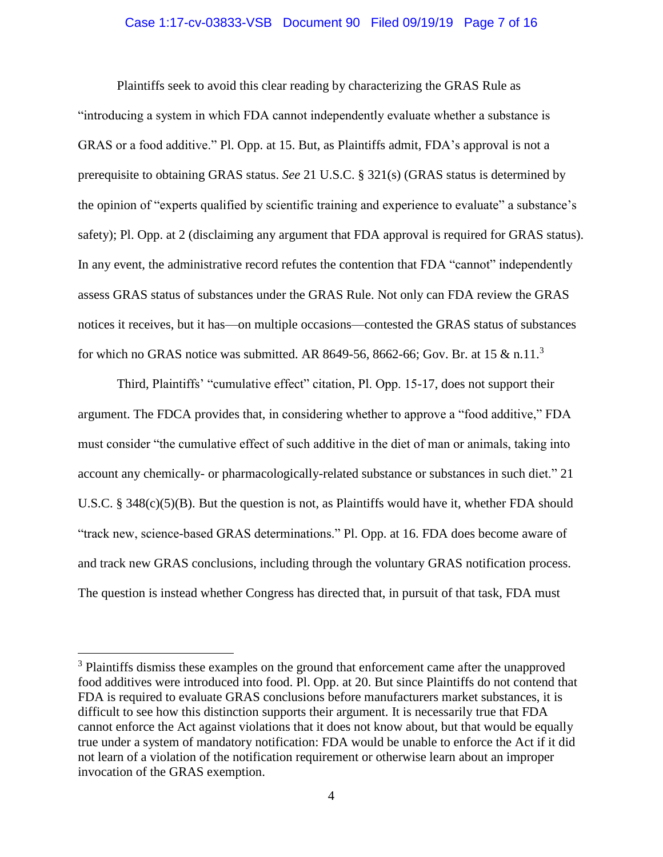#### Case 1:17-cv-03833-VSB Document 90 Filed 09/19/19 Page 7 of 16

Plaintiffs seek to avoid this clear reading by characterizing the GRAS Rule as "introducing a system in which FDA cannot independently evaluate whether a substance is GRAS or a food additive." Pl. Opp. at 15. But, as Plaintiffs admit, FDA's approval is not a prerequisite to obtaining GRAS status. *See* 21 U.S.C. § 321(s) (GRAS status is determined by the opinion of "experts qualified by scientific training and experience to evaluate" a substance's safety); Pl. Opp. at 2 (disclaiming any argument that FDA approval is required for GRAS status). In any event, the administrative record refutes the contention that FDA "cannot" independently assess GRAS status of substances under the GRAS Rule. Not only can FDA review the GRAS notices it receives, but it has—on multiple occasions—contested the GRAS status of substances for which no GRAS notice was submitted. AR 8649-56, 8662-66; Gov. Br. at 15  $\&$  n.11.<sup>3</sup>

Third, Plaintiffs' "cumulative effect" citation, Pl. Opp. 15-17, does not support their argument. The FDCA provides that, in considering whether to approve a "food additive," FDA must consider "the cumulative effect of such additive in the diet of man or animals, taking into account any chemically- or pharmacologically-related substance or substances in such diet." 21 U.S.C. § 348(c)(5)(B). But the question is not, as Plaintiffs would have it, whether FDA should "track new, science-based GRAS determinations." Pl. Opp. at 16. FDA does become aware of and track new GRAS conclusions, including through the voluntary GRAS notification process. The question is instead whether Congress has directed that, in pursuit of that task, FDA must

<sup>&</sup>lt;sup>3</sup> Plaintiffs dismiss these examples on the ground that enforcement came after the unapproved food additives were introduced into food. Pl. Opp. at 20. But since Plaintiffs do not contend that FDA is required to evaluate GRAS conclusions before manufacturers market substances, it is difficult to see how this distinction supports their argument. It is necessarily true that FDA cannot enforce the Act against violations that it does not know about, but that would be equally true under a system of mandatory notification: FDA would be unable to enforce the Act if it did not learn of a violation of the notification requirement or otherwise learn about an improper invocation of the GRAS exemption.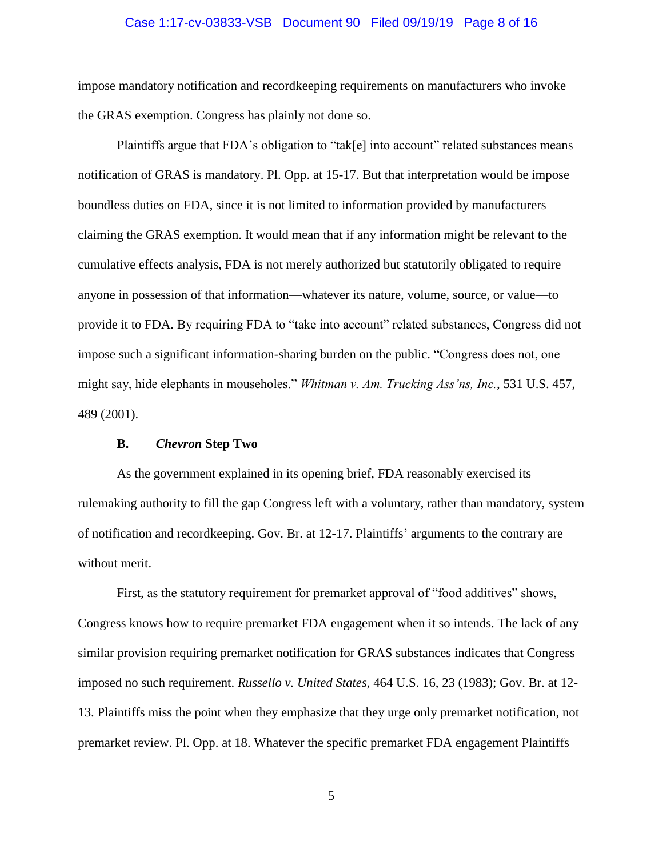#### Case 1:17-cv-03833-VSB Document 90 Filed 09/19/19 Page 8 of 16

impose mandatory notification and recordkeeping requirements on manufacturers who invoke the GRAS exemption. Congress has plainly not done so.

Plaintiffs argue that FDA's obligation to "tak[e] into account" related substances means notification of GRAS is mandatory. Pl. Opp. at 15-17. But that interpretation would be impose boundless duties on FDA, since it is not limited to information provided by manufacturers claiming the GRAS exemption. It would mean that if any information might be relevant to the cumulative effects analysis, FDA is not merely authorized but statutorily obligated to require anyone in possession of that information—whatever its nature, volume, source, or value—to provide it to FDA. By requiring FDA to "take into account" related substances, Congress did not impose such a significant information-sharing burden on the public. "Congress does not, one might say, hide elephants in mouseholes." *Whitman v. Am. Trucking Ass'ns, Inc.*, 531 U.S. 457, 489 (2001).

#### **B.** *Chevron* **Step Two**

<span id="page-7-0"></span>As the government explained in its opening brief, FDA reasonably exercised its rulemaking authority to fill the gap Congress left with a voluntary, rather than mandatory, system of notification and recordkeeping. Gov. Br. at 12-17. Plaintiffs' arguments to the contrary are without merit.

First, as the statutory requirement for premarket approval of "food additives" shows, Congress knows how to require premarket FDA engagement when it so intends. The lack of any similar provision requiring premarket notification for GRAS substances indicates that Congress imposed no such requirement. *Russello v. United States*, 464 U.S. 16, 23 (1983); Gov. Br. at 12- 13. Plaintiffs miss the point when they emphasize that they urge only premarket notification, not premarket review. Pl. Opp. at 18. Whatever the specific premarket FDA engagement Plaintiffs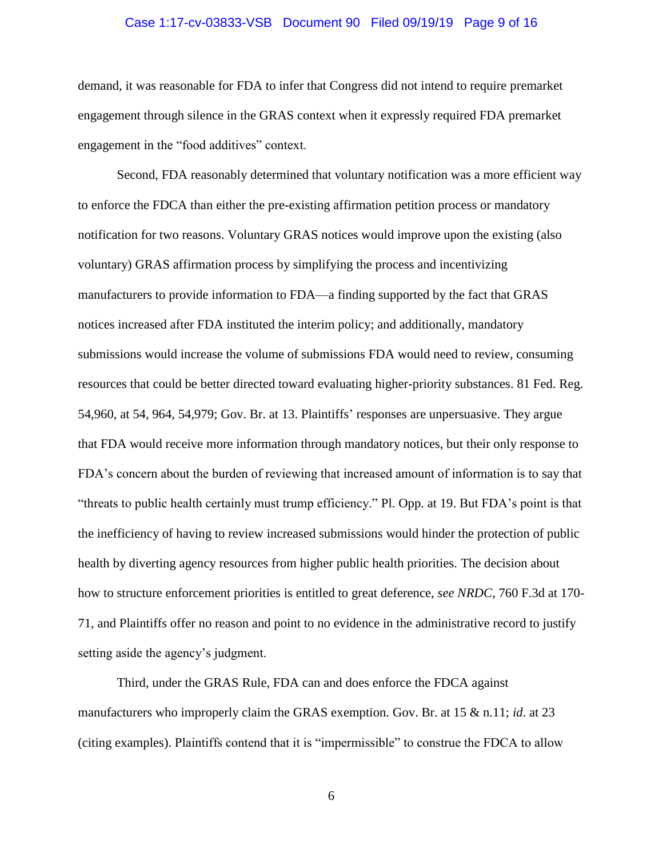#### Case 1:17-cv-03833-VSB Document 90 Filed 09/19/19 Page 9 of 16

demand, it was reasonable for FDA to infer that Congress did not intend to require premarket engagement through silence in the GRAS context when it expressly required FDA premarket engagement in the "food additives" context.

Second, FDA reasonably determined that voluntary notification was a more efficient way to enforce the FDCA than either the pre-existing affirmation petition process or mandatory notification for two reasons. Voluntary GRAS notices would improve upon the existing (also voluntary) GRAS affirmation process by simplifying the process and incentivizing manufacturers to provide information to FDA—a finding supported by the fact that GRAS notices increased after FDA instituted the interim policy; and additionally, mandatory submissions would increase the volume of submissions FDA would need to review, consuming resources that could be better directed toward evaluating higher-priority substances. 81 Fed. Reg. 54,960, at 54, 964, 54,979; Gov. Br. at 13. Plaintiffs' responses are unpersuasive. They argue that FDA would receive more information through mandatory notices, but their only response to FDA's concern about the burden of reviewing that increased amount of information is to say that "threats to public health certainly must trump efficiency." Pl. Opp. at 19. But FDA's point is that the inefficiency of having to review increased submissions would hinder the protection of public health by diverting agency resources from higher public health priorities. The decision about how to structure enforcement priorities is entitled to great deference, *see NRDC*, 760 F.3d at 170- 71, and Plaintiffs offer no reason and point to no evidence in the administrative record to justify setting aside the agency's judgment.

Third, under the GRAS Rule, FDA can and does enforce the FDCA against manufacturers who improperly claim the GRAS exemption. Gov. Br. at 15 & n.11; *id*. at 23 (citing examples). Plaintiffs contend that it is "impermissible" to construe the FDCA to allow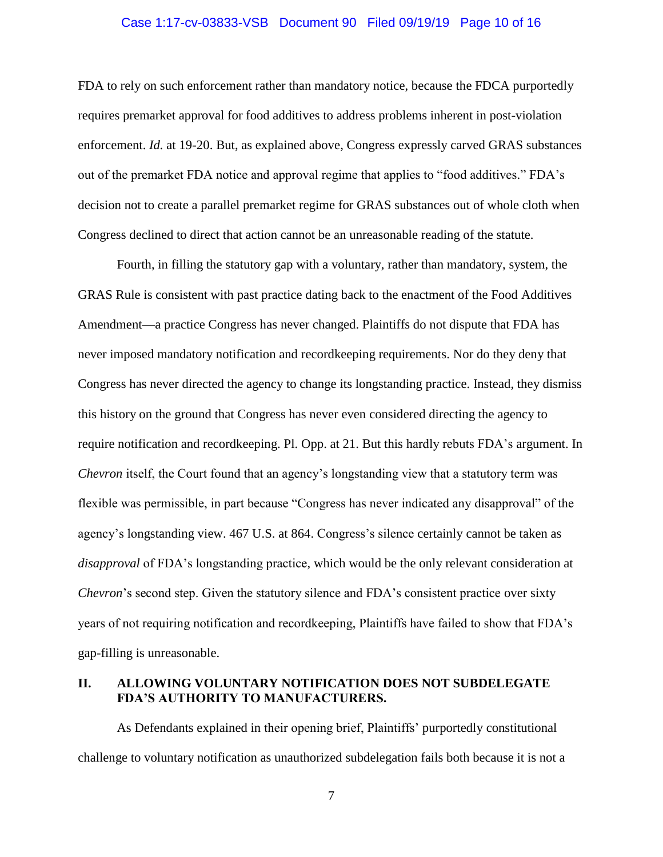#### Case 1:17-cv-03833-VSB Document 90 Filed 09/19/19 Page 10 of 16

FDA to rely on such enforcement rather than mandatory notice, because the FDCA purportedly requires premarket approval for food additives to address problems inherent in post-violation enforcement. *Id.* at 19-20. But, as explained above, Congress expressly carved GRAS substances out of the premarket FDA notice and approval regime that applies to "food additives." FDA's decision not to create a parallel premarket regime for GRAS substances out of whole cloth when Congress declined to direct that action cannot be an unreasonable reading of the statute.

Fourth, in filling the statutory gap with a voluntary, rather than mandatory, system, the GRAS Rule is consistent with past practice dating back to the enactment of the Food Additives Amendment—a practice Congress has never changed. Plaintiffs do not dispute that FDA has never imposed mandatory notification and recordkeeping requirements. Nor do they deny that Congress has never directed the agency to change its longstanding practice. Instead, they dismiss this history on the ground that Congress has never even considered directing the agency to require notification and recordkeeping. Pl. Opp. at 21. But this hardly rebuts FDA's argument. In *Chevron* itself, the Court found that an agency's longstanding view that a statutory term was flexible was permissible, in part because "Congress has never indicated any disapproval" of the agency's longstanding view. 467 U.S. at 864. Congress's silence certainly cannot be taken as *disapproval* of FDA's longstanding practice, which would be the only relevant consideration at *Chevron*'s second step. Given the statutory silence and FDA's consistent practice over sixty years of not requiring notification and recordkeeping, Plaintiffs have failed to show that FDA's gap-filling is unreasonable.

#### <span id="page-9-0"></span>**II. ALLOWING VOLUNTARY NOTIFICATION DOES NOT SUBDELEGATE FDA'S AUTHORITY TO MANUFACTURERS.**

As Defendants explained in their opening brief, Plaintiffs' purportedly constitutional challenge to voluntary notification as unauthorized subdelegation fails both because it is not a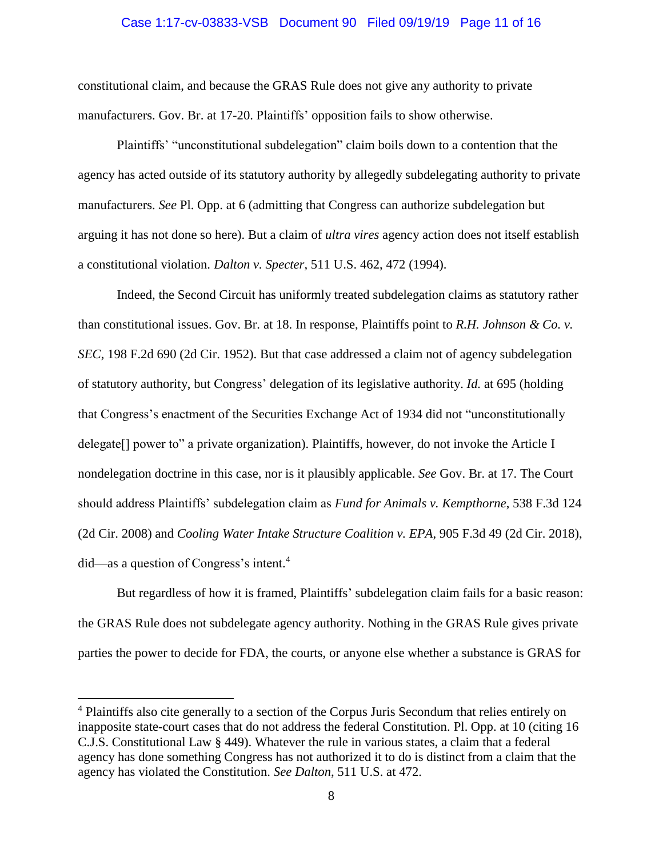#### Case 1:17-cv-03833-VSB Document 90 Filed 09/19/19 Page 11 of 16

constitutional claim, and because the GRAS Rule does not give any authority to private manufacturers. Gov. Br. at 17-20. Plaintiffs' opposition fails to show otherwise.

Plaintiffs' "unconstitutional subdelegation" claim boils down to a contention that the agency has acted outside of its statutory authority by allegedly subdelegating authority to private manufacturers. *See* Pl. Opp. at 6 (admitting that Congress can authorize subdelegation but arguing it has not done so here). But a claim of *ultra vires* agency action does not itself establish a constitutional violation. *Dalton v. Specter*, 511 U.S. 462, 472 (1994).

Indeed, the Second Circuit has uniformly treated subdelegation claims as statutory rather than constitutional issues. Gov. Br. at 18. In response, Plaintiffs point to *R.H. Johnson & Co. v. SEC*, 198 F.2d 690 (2d Cir. 1952). But that case addressed a claim not of agency subdelegation of statutory authority, but Congress' delegation of its legislative authority. *Id.* at 695 (holding that Congress's enactment of the Securities Exchange Act of 1934 did not "unconstitutionally delegate<sup>[]</sup> power to" a private organization). Plaintiffs, however, do not invoke the Article I nondelegation doctrine in this case, nor is it plausibly applicable. *See* Gov. Br. at 17. The Court should address Plaintiffs' subdelegation claim as *Fund for Animals v. Kempthorne*, 538 F.3d 124 (2d Cir. 2008) and *Cooling Water Intake Structure Coalition v. EPA*, 905 F.3d 49 (2d Cir. 2018), did—as a question of Congress's intent. 4

But regardless of how it is framed, Plaintiffs' subdelegation claim fails for a basic reason: the GRAS Rule does not subdelegate agency authority. Nothing in the GRAS Rule gives private parties the power to decide for FDA, the courts, or anyone else whether a substance is GRAS for

<sup>&</sup>lt;sup>4</sup> Plaintiffs also cite generally to a section of the Corpus Juris Secondum that relies entirely on inapposite state-court cases that do not address the federal Constitution. Pl. Opp. at 10 (citing 16 C.J.S. Constitutional Law § 449). Whatever the rule in various states, a claim that a federal agency has done something Congress has not authorized it to do is distinct from a claim that the agency has violated the Constitution. *See Dalton*, 511 U.S. at 472.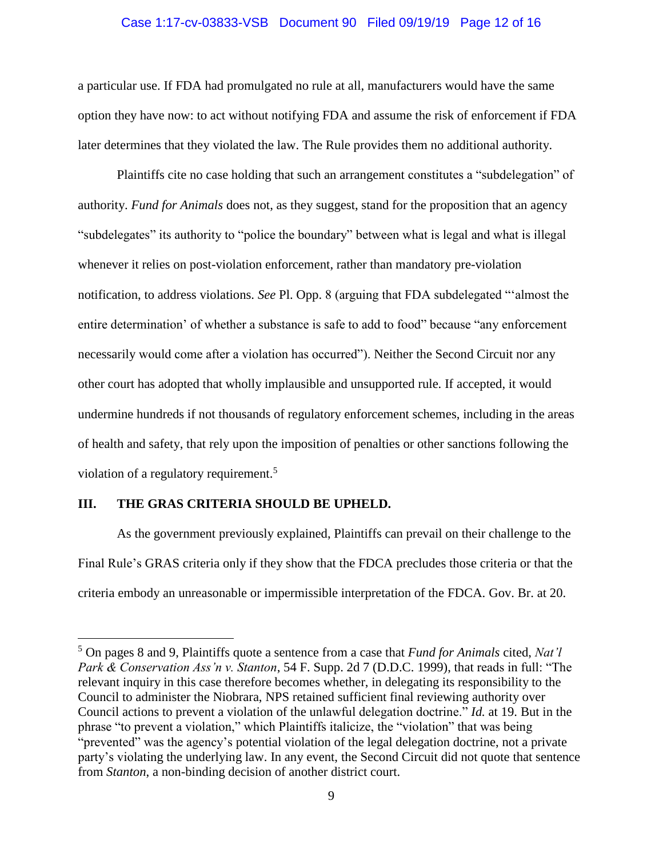#### Case 1:17-cv-03833-VSB Document 90 Filed 09/19/19 Page 12 of 16

a particular use. If FDA had promulgated no rule at all, manufacturers would have the same option they have now: to act without notifying FDA and assume the risk of enforcement if FDA later determines that they violated the law. The Rule provides them no additional authority.

Plaintiffs cite no case holding that such an arrangement constitutes a "subdelegation" of authority. *Fund for Animals* does not, as they suggest, stand for the proposition that an agency "subdelegates" its authority to "police the boundary" between what is legal and what is illegal whenever it relies on post-violation enforcement, rather than mandatory pre-violation notification, to address violations. *See* Pl. Opp. 8 (arguing that FDA subdelegated "'almost the entire determination' of whether a substance is safe to add to food" because "any enforcement necessarily would come after a violation has occurred"). Neither the Second Circuit nor any other court has adopted that wholly implausible and unsupported rule. If accepted, it would undermine hundreds if not thousands of regulatory enforcement schemes, including in the areas of health and safety, that rely upon the imposition of penalties or other sanctions following the violation of a regulatory requirement.<sup>5</sup>

#### <span id="page-11-0"></span>**III. THE GRAS CRITERIA SHOULD BE UPHELD.**

 $\overline{a}$ 

As the government previously explained, Plaintiffs can prevail on their challenge to the Final Rule's GRAS criteria only if they show that the FDCA precludes those criteria or that the criteria embody an unreasonable or impermissible interpretation of the FDCA. Gov. Br. at 20.

<sup>5</sup> On pages 8 and 9, Plaintiffs quote a sentence from a case that *Fund for Animals* cited, *Nat'l Park & Conservation Ass'n v. Stanton*, 54 F. Supp. 2d 7 (D.D.C. 1999), that reads in full: "The relevant inquiry in this case therefore becomes whether, in delegating its responsibility to the Council to administer the Niobrara, NPS retained sufficient final reviewing authority over Council actions to prevent a violation of the unlawful delegation doctrine." *Id.* at 19. But in the phrase "to prevent a violation," which Plaintiffs italicize, the "violation" that was being "prevented" was the agency's potential violation of the legal delegation doctrine, not a private party's violating the underlying law. In any event, the Second Circuit did not quote that sentence from *Stanton*, a non-binding decision of another district court.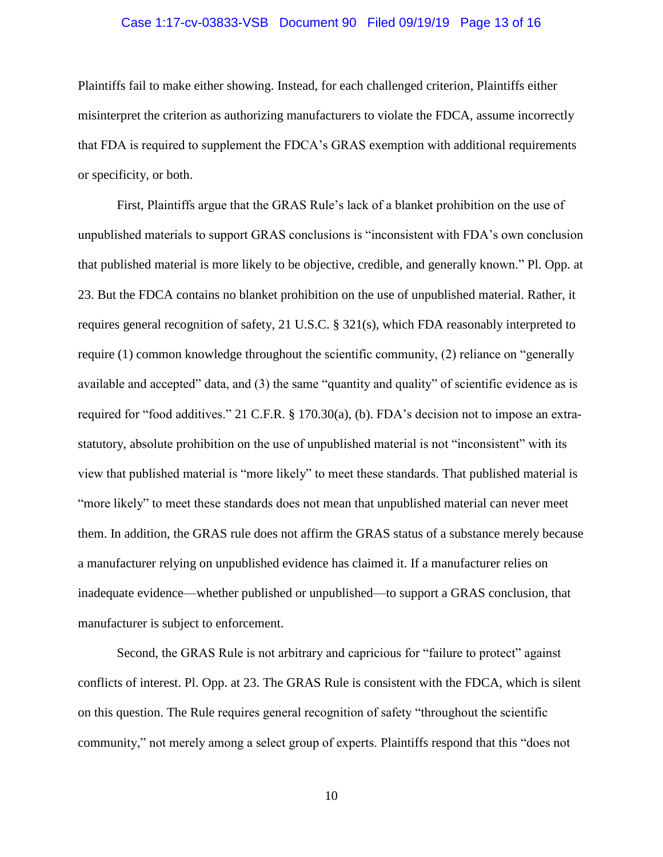#### Case 1:17-cv-03833-VSB Document 90 Filed 09/19/19 Page 13 of 16

Plaintiffs fail to make either showing. Instead, for each challenged criterion, Plaintiffs either misinterpret the criterion as authorizing manufacturers to violate the FDCA, assume incorrectly that FDA is required to supplement the FDCA's GRAS exemption with additional requirements or specificity, or both.

First, Plaintiffs argue that the GRAS Rule's lack of a blanket prohibition on the use of unpublished materials to support GRAS conclusions is "inconsistent with FDA's own conclusion that published material is more likely to be objective, credible, and generally known." Pl. Opp. at 23. But the FDCA contains no blanket prohibition on the use of unpublished material. Rather, it requires general recognition of safety, 21 U.S.C. § 321(s), which FDA reasonably interpreted to require (1) common knowledge throughout the scientific community, (2) reliance on "generally available and accepted" data, and (3) the same "quantity and quality" of scientific evidence as is required for "food additives." 21 C.F.R. § 170.30(a), (b). FDA's decision not to impose an extrastatutory, absolute prohibition on the use of unpublished material is not "inconsistent" with its view that published material is "more likely" to meet these standards. That published material is "more likely" to meet these standards does not mean that unpublished material can never meet them. In addition, the GRAS rule does not affirm the GRAS status of a substance merely because a manufacturer relying on unpublished evidence has claimed it. If a manufacturer relies on inadequate evidence—whether published or unpublished—to support a GRAS conclusion, that manufacturer is subject to enforcement.

Second, the GRAS Rule is not arbitrary and capricious for "failure to protect" against conflicts of interest. Pl. Opp. at 23. The GRAS Rule is consistent with the FDCA, which is silent on this question. The Rule requires general recognition of safety "throughout the scientific community," not merely among a select group of experts. Plaintiffs respond that this "does not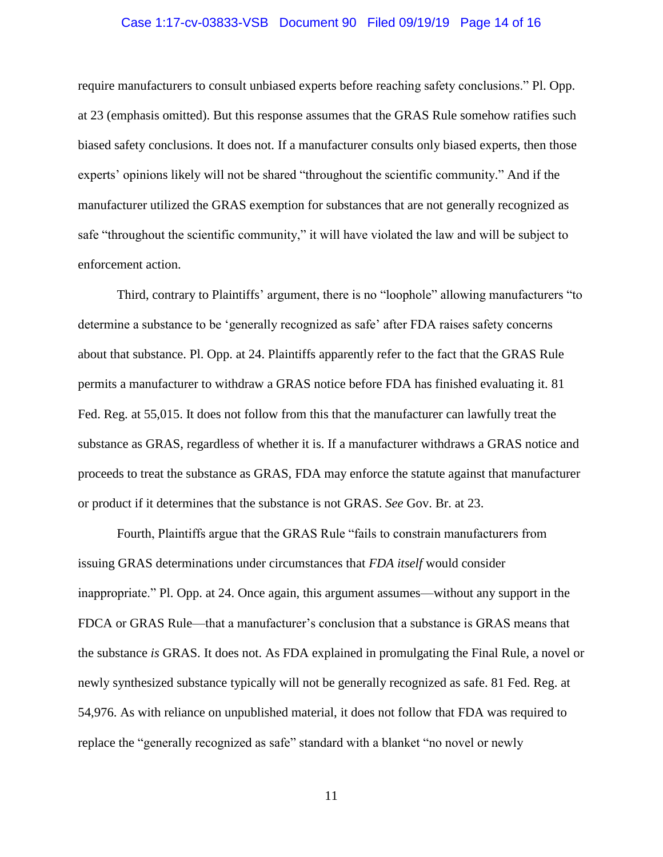#### Case 1:17-cv-03833-VSB Document 90 Filed 09/19/19 Page 14 of 16

require manufacturers to consult unbiased experts before reaching safety conclusions." Pl. Opp. at 23 (emphasis omitted). But this response assumes that the GRAS Rule somehow ratifies such biased safety conclusions. It does not. If a manufacturer consults only biased experts, then those experts' opinions likely will not be shared "throughout the scientific community." And if the manufacturer utilized the GRAS exemption for substances that are not generally recognized as safe "throughout the scientific community," it will have violated the law and will be subject to enforcement action.

Third, contrary to Plaintiffs' argument, there is no "loophole" allowing manufacturers "to determine a substance to be 'generally recognized as safe' after FDA raises safety concerns about that substance. Pl. Opp. at 24. Plaintiffs apparently refer to the fact that the GRAS Rule permits a manufacturer to withdraw a GRAS notice before FDA has finished evaluating it. 81 Fed. Reg. at 55,015. It does not follow from this that the manufacturer can lawfully treat the substance as GRAS, regardless of whether it is. If a manufacturer withdraws a GRAS notice and proceeds to treat the substance as GRAS, FDA may enforce the statute against that manufacturer or product if it determines that the substance is not GRAS. *See* Gov. Br. at 23.

Fourth, Plaintiffs argue that the GRAS Rule "fails to constrain manufacturers from issuing GRAS determinations under circumstances that *FDA itself* would consider inappropriate." Pl. Opp. at 24. Once again, this argument assumes—without any support in the FDCA or GRAS Rule—that a manufacturer's conclusion that a substance is GRAS means that the substance *is* GRAS. It does not. As FDA explained in promulgating the Final Rule, a novel or newly synthesized substance typically will not be generally recognized as safe. 81 Fed. Reg. at 54,976. As with reliance on unpublished material, it does not follow that FDA was required to replace the "generally recognized as safe" standard with a blanket "no novel or newly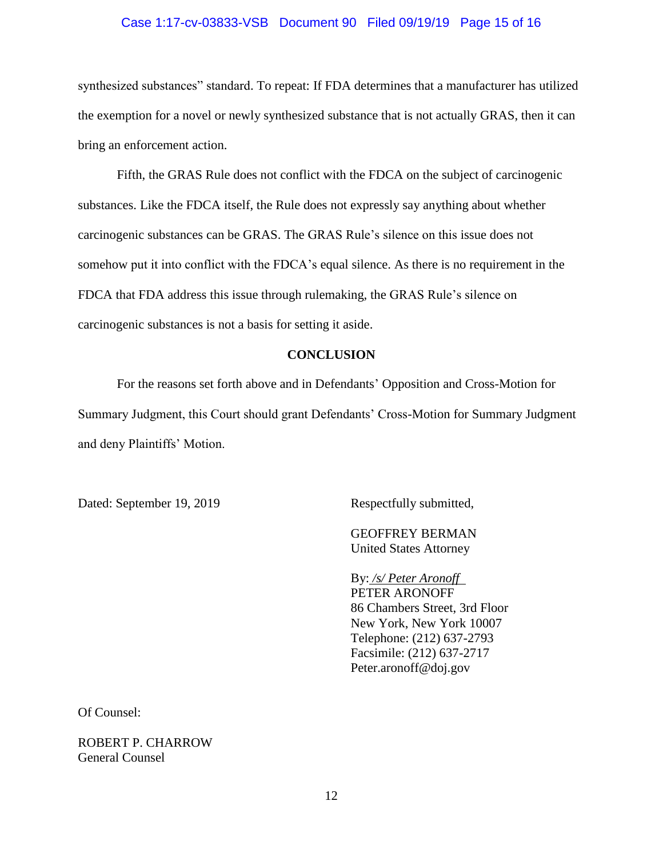#### Case 1:17-cv-03833-VSB Document 90 Filed 09/19/19 Page 15 of 16

synthesized substances" standard. To repeat: If FDA determines that a manufacturer has utilized the exemption for a novel or newly synthesized substance that is not actually GRAS, then it can bring an enforcement action.

Fifth, the GRAS Rule does not conflict with the FDCA on the subject of carcinogenic substances. Like the FDCA itself, the Rule does not expressly say anything about whether carcinogenic substances can be GRAS. The GRAS Rule's silence on this issue does not somehow put it into conflict with the FDCA's equal silence. As there is no requirement in the FDCA that FDA address this issue through rulemaking, the GRAS Rule's silence on carcinogenic substances is not a basis for setting it aside.

#### **CONCLUSION**

For the reasons set forth above and in Defendants' Opposition and Cross-Motion for Summary Judgment, this Court should grant Defendants' Cross-Motion for Summary Judgment and deny Plaintiffs' Motion.

Dated: September 19, 2019 Respectfully submitted,

GEOFFREY BERMAN United States Attorney

By: */s/ Peter Aronoff*  PETER ARONOFF 86 Chambers Street, 3rd Floor New York, New York 10007 Telephone: (212) 637-2793 Facsimile: (212) 637-2717 Peter.aronoff@doj.gov

Of Counsel:

ROBERT P. CHARROW General Counsel